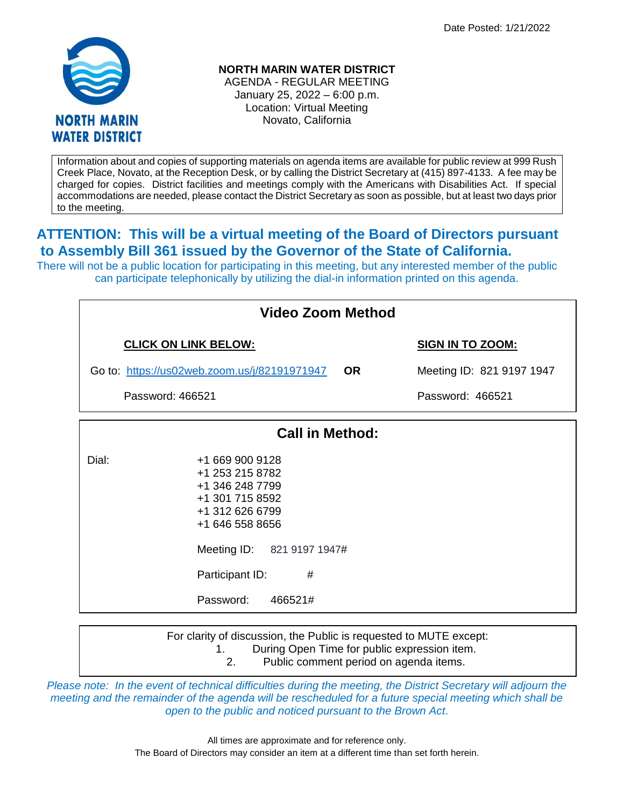

**NORTH MARIN WATER DISTRICT**

AGENDA - REGULAR MEETING January 25, 2022 – 6:00 p.m. Location: Virtual Meeting Novato, California

Information about and copies of supporting materials on agenda items are available for public review at 999 Rush Creek Place, Novato, at the Reception Desk, or by calling the District Secretary at (415) 897-4133. A fee may be charged for copies. District facilities and meetings comply with the Americans with Disabilities Act. If special accommodations are needed, please contact the District Secretary as soon as possible, but at least two days prior to the meeting.

## **ATTENTION: This will be a virtual meeting of the Board of Directors pursuant to Assembly Bill 361 issued by the Governor of the State of California.**

There will not be a public location for participating in this meeting, but any interested member of the public can participate telephonically by utilizing the dial-in information printed on this agenda.

| <b>Video Zoom Method</b>                     |                                                                                                                                                                                              |                                        |  |
|----------------------------------------------|----------------------------------------------------------------------------------------------------------------------------------------------------------------------------------------------|----------------------------------------|--|
| <b>CLICK ON LINK BELOW:</b>                  |                                                                                                                                                                                              | <b>SIGN IN TO ZOOM:</b>                |  |
| Go to: https://us02web.zoom.us/j/82191971947 |                                                                                                                                                                                              | Meeting ID: 821 9197 1947              |  |
| Password: 466521                             |                                                                                                                                                                                              | Password: 466521                       |  |
| <b>Call in Method:</b>                       |                                                                                                                                                                                              |                                        |  |
| Dial:                                        | +1 669 900 9128<br>+1 253 215 8782<br>+1 346 248 7799<br>+1 301 715 8592<br>+1 312 626 6799<br>+1 646 558 8656<br>Meeting ID: 821 9197 1947#<br>Participant ID:<br>#<br>Password:<br>466521# |                                        |  |
|                                              | For clarity of discussion, the Public is requested to MUTE except:<br>During Open Time for public expression item.<br>1.<br>2.                                                               | Public comment period on agenda items. |  |

*Please note: In the event of technical difficulties during the meeting, the District Secretary will adjourn the meeting and the remainder of the agenda will be rescheduled for a future special meeting which shall be open to the public and noticed pursuant to the Brown Act.*

Public comment period on agenda items.

All times are approximate and for reference only. The Board of Directors may consider an item at a different time than set forth herein.